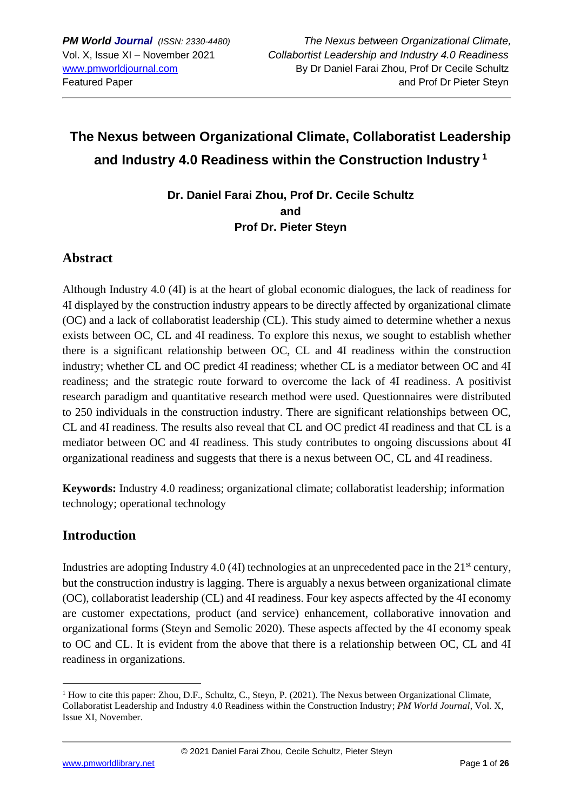# **The Nexus between Organizational Climate, Collaboratist Leadership and Industry 4.0 Readiness within the Construction Industry <sup>1</sup>**

**Dr. Daniel Farai Zhou, Prof Dr. Cecile Schultz and Prof Dr. Pieter Steyn**

# **Abstract**

Although Industry 4.0 (4I) is at the heart of global economic dialogues, the lack of readiness for 4I displayed by the construction industry appears to be directly affected by organizational climate (OC) and a lack of collaboratist leadership (CL). This study aimed to determine whether a nexus exists between OC, CL and 4I readiness. To explore this nexus, we sought to establish whether there is a significant relationship between OC, CL and 4I readiness within the construction industry; whether CL and OC predict 4I readiness; whether CL is a mediator between OC and 4I readiness; and the strategic route forward to overcome the lack of 4I readiness. A positivist research paradigm and quantitative research method were used. Questionnaires were distributed to 250 individuals in the construction industry. There are significant relationships between OC, CL and 4I readiness. The results also reveal that CL and OC predict 4I readiness and that CL is a mediator between OC and 4I readiness. This study contributes to ongoing discussions about 4I organizational readiness and suggests that there is a nexus between OC, CL and 4I readiness.

**Keywords:** Industry 4.0 readiness; organizational climate; collaboratist leadership; information technology; operational technology

# **Introduction**

Industries are adopting Industry 4.0 (4I) technologies at an unprecedented pace in the  $21<sup>st</sup>$  century, but the construction industry is lagging. There is arguably a nexus between organizational climate (OC), collaboratist leadership (CL) and 4I readiness. Four key aspects affected by the 4I economy are customer expectations, product (and service) enhancement, collaborative innovation and organizational forms (Steyn and Semolic 2020). These aspects affected by the 4I economy speak to OC and CL. It is evident from the above that there is a relationship between OC, CL and 4I readiness in organizations.

<sup>&</sup>lt;sup>1</sup> How to cite this paper: Zhou, D.F., Schultz, C., Steyn, P. (2021). The Nexus between Organizational Climate, Collaboratist Leadership and Industry 4.0 Readiness within the Construction Industry; *PM World Journal*, Vol. X, Issue XI, November.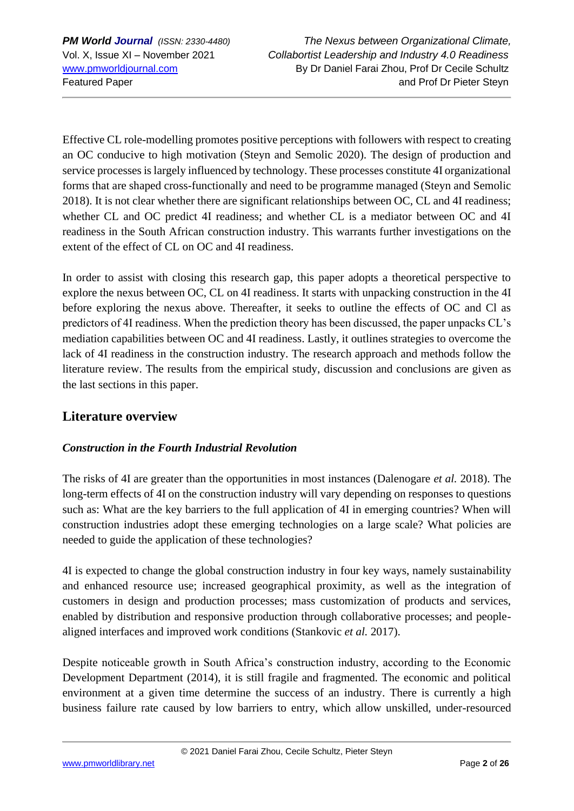Effective CL role-modelling promotes positive perceptions with followers with respect to creating an OC conducive to high motivation (Steyn and Semolic 2020). The design of production and service processes is largely influenced by technology. These processes constitute 4I organizational forms that are shaped cross-functionally and need to be programme managed (Steyn and Semolic 2018). It is not clear whether there are significant relationships between OC, CL and 4I readiness; whether CL and OC predict 4I readiness; and whether CL is a mediator between OC and 4I readiness in the South African construction industry. This warrants further investigations on the extent of the effect of CL on OC and 4I readiness.

In order to assist with closing this research gap, this paper adopts a theoretical perspective to explore the nexus between OC, CL on 4I readiness. It starts with unpacking construction in the 4I before exploring the nexus above. Thereafter, it seeks to outline the effects of OC and Cl as predictors of 4I readiness. When the prediction theory has been discussed, the paper unpacks CL's mediation capabilities between OC and 4I readiness. Lastly, it outlines strategies to overcome the lack of 4I readiness in the construction industry. The research approach and methods follow the literature review. The results from the empirical study, discussion and conclusions are given as the last sections in this paper.

# **Literature overview**

# *Construction in the Fourth Industrial Revolution*

The risks of 4I are greater than the opportunities in most instances (Dalenogare *et al.* 2018). The long-term effects of 4I on the construction industry will vary depending on responses to questions such as: What are the key barriers to the full application of 4I in emerging countries? When will construction industries adopt these emerging technologies on a large scale? What policies are needed to guide the application of these technologies?

4I is expected to change the global construction industry in four key ways, namely sustainability and enhanced resource use; increased geographical proximity, as well as the integration of customers in design and production processes; mass customization of products and services, enabled by distribution and responsive production through collaborative processes; and peoplealigned interfaces and improved work conditions (Stankovic *et al.* 2017).

Despite noticeable growth in South Africa's construction industry, according to the Economic Development Department (2014), it is still fragile and fragmented. The economic and political environment at a given time determine the success of an industry. There is currently a high business failure rate caused by low barriers to entry, which allow unskilled, under-resourced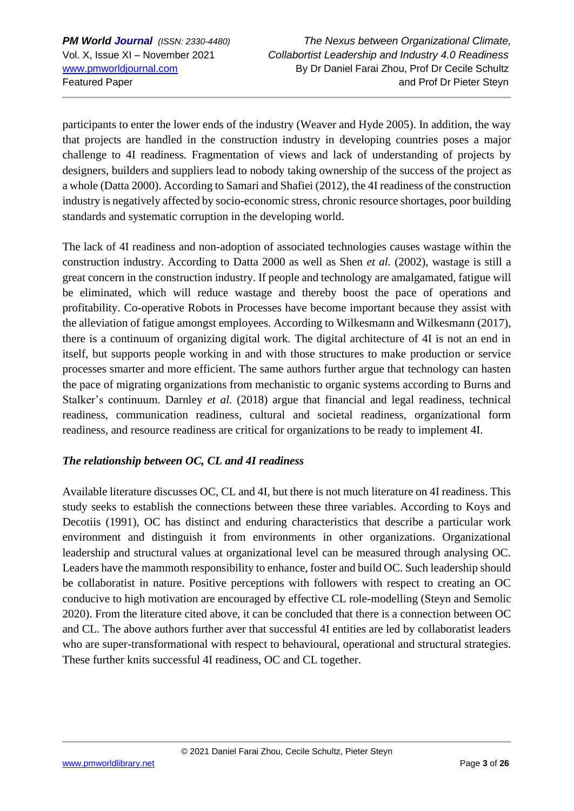participants to enter the lower ends of the industry (Weaver and Hyde 2005). In addition, the way that projects are handled in the construction industry in developing countries poses a major challenge to 4I readiness. Fragmentation of views and lack of understanding of projects by designers, builders and suppliers lead to nobody taking ownership of the success of the project as a whole (Datta 2000). According to Samari and Shafiei (2012), the 4I readiness of the construction industry is negatively affected by socio-economic stress, chronic resource shortages, poor building standards and systematic corruption in the developing world.

The lack of 4I readiness and non-adoption of associated technologies causes wastage within the construction industry. According to Datta 2000 as well as Shen *et al.* (2002), wastage is still a great concern in the construction industry. If people and technology are amalgamated, fatigue will be eliminated, which will reduce wastage and thereby boost the pace of operations and profitability. Co-operative Robots in Processes have become important because they assist with the alleviation of fatigue amongst employees. According to Wilkesmann and Wilkesmann (2017), there is a continuum of organizing digital work. The digital architecture of 4I is not an end in itself, but supports people working in and with those structures to make production or service processes smarter and more efficient. The same authors further argue that technology can hasten the pace of migrating organizations from mechanistic to organic systems according to Burns and Stalker's continuum. Darnley *et al.* (2018) argue that financial and legal readiness, technical readiness, communication readiness, cultural and societal readiness, organizational form readiness, and resource readiness are critical for organizations to be ready to implement 4I.

#### *The relationship between OC, CL and 4I readiness*

Available literature discusses OC, CL and 4I, but there is not much literature on 4I readiness. This study seeks to establish the connections between these three variables. According to Koys and Decotiis (1991), OC has distinct and enduring characteristics that describe a particular work environment and distinguish it from environments in other organizations. Organizational leadership and structural values at organizational level can be measured through analysing OC. Leaders have the mammoth responsibility to enhance, foster and build OC. Such leadership should be collaboratist in nature. Positive perceptions with followers with respect to creating an OC conducive to high motivation are encouraged by effective CL role-modelling (Steyn and Semolic 2020). From the literature cited above, it can be concluded that there is a connection between OC and CL. The above authors further aver that successful 4I entities are led by collaboratist leaders who are super-transformational with respect to behavioural, operational and structural strategies. These further knits successful 4I readiness, OC and CL together.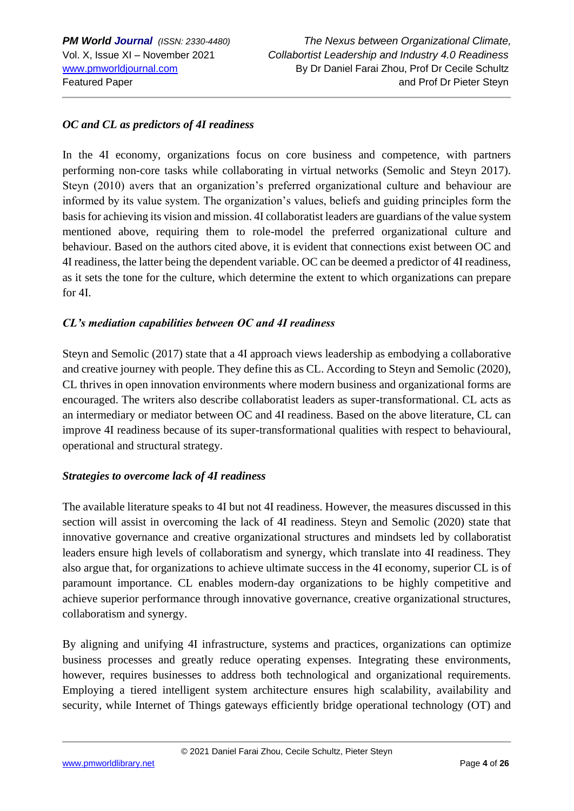### *OC and CL as predictors of 4I readiness*

In the 4I economy, organizations focus on core business and competence, with partners performing non-core tasks while collaborating in virtual networks (Semolic and Steyn 2017). Steyn (2010) avers that an organization's preferred organizational culture and behaviour are informed by its value system. The organization's values, beliefs and guiding principles form the basis for achieving its vision and mission. 4I collaboratist leaders are guardians of the value system mentioned above, requiring them to role-model the preferred organizational culture and behaviour. Based on the authors cited above, it is evident that connections exist between OC and 4I readiness, the latter being the dependent variable. OC can be deemed a predictor of 4I readiness, as it sets the tone for the culture, which determine the extent to which organizations can prepare for 4I.

#### *CL's mediation capabilities between OC and 4I readiness*

Steyn and Semolic (2017) state that a 4I approach views leadership as embodying a collaborative and creative journey with people. They define this as CL. According to Steyn and Semolic (2020), CL thrives in open innovation environments where modern business and organizational forms are encouraged. The writers also describe collaboratist leaders as super-transformational. CL acts as an intermediary or mediator between OC and 4I readiness. Based on the above literature, CL can improve 4I readiness because of its super-transformational qualities with respect to behavioural, operational and structural strategy.

#### *Strategies to overcome lack of 4I readiness*

The available literature speaks to 4I but not 4I readiness. However, the measures discussed in this section will assist in overcoming the lack of 4I readiness. Steyn and Semolic (2020) state that innovative governance and creative organizational structures and mindsets led by collaboratist leaders ensure high levels of collaboratism and synergy, which translate into 4I readiness. They also argue that, for organizations to achieve ultimate success in the 4I economy, superior CL is of paramount importance. CL enables modern-day organizations to be highly competitive and achieve superior performance through innovative governance, creative organizational structures, collaboratism and synergy.

By aligning and unifying 4I infrastructure, systems and practices, organizations can optimize business processes and greatly reduce operating expenses. Integrating these environments, however, requires businesses to address both technological and organizational requirements. Employing a tiered intelligent system architecture ensures high scalability, availability and security, while Internet of Things gateways efficiently bridge operational technology (OT) and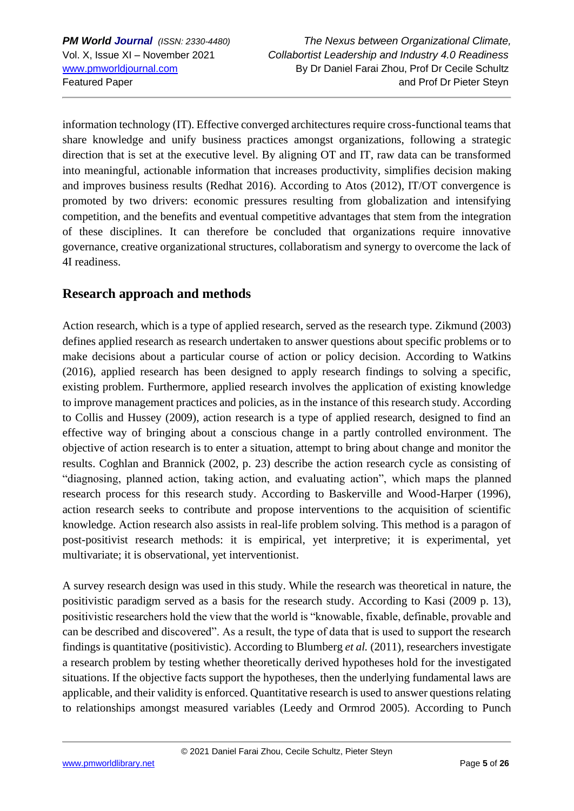*PM World Journal (ISSN: 2330-4480) The Nexus between Organizational Climate,* Vol. X, Issue XI – November 2021 *Collabortist Leadership and Industry 4.0 Readiness* [www.pmworldjournal.com](http://www.pmworldjournal.com/) By Dr Daniel Farai Zhou, Prof Dr Cecile Schultz Featured Paper and Prof Dr Pieter Steyn

information technology (IT). Effective converged architectures require cross-functional teams that share knowledge and unify business practices amongst organizations, following a strategic direction that is set at the executive level. By aligning OT and IT, raw data can be transformed into meaningful, actionable information that increases productivity, simplifies decision making and improves business results (Redhat 2016). According to Atos (2012), IT/OT convergence is promoted by two drivers: economic pressures resulting from globalization and intensifying competition, and the benefits and eventual competitive advantages that stem from the integration of these disciplines. It can therefore be concluded that organizations require innovative governance, creative organizational structures, collaboratism and synergy to overcome the lack of 4I readiness.

# **Research approach and methods**

Action research, which is a type of applied research, served as the research type. Zikmund (2003) defines applied research as research undertaken to answer questions about specific problems or to make decisions about a particular course of action or policy decision. According to Watkins (2016), applied research has been designed to apply research findings to solving a specific, existing problem. Furthermore, applied research involves the application of existing knowledge to improve management practices and policies, as in the instance of this research study. According to Collis and Hussey (2009), action research is a type of applied research, designed to find an effective way of bringing about a conscious change in a partly controlled environment. The objective of action research is to enter a situation, attempt to bring about change and monitor the results. Coghlan and Brannick (2002, p. 23) describe the action research cycle as consisting of "diagnosing, planned action, taking action, and evaluating action", which maps the planned research process for this research study. According to Baskerville and Wood-Harper (1996), action research seeks to contribute and propose interventions to the acquisition of scientific knowledge. Action research also assists in real-life problem solving. This method is a paragon of post-positivist research methods: it is empirical, yet interpretive; it is experimental, yet multivariate; it is observational, yet interventionist.

A survey research design was used in this study. While the research was theoretical in nature, the positivistic paradigm served as a basis for the research study. According to Kasi (2009 p. 13), positivistic researchers hold the view that the world is "knowable, fixable, definable, provable and can be described and discovered". As a result, the type of data that is used to support the research findings is quantitative (positivistic). According to Blumberg *et al.* (2011), researchers investigate a research problem by testing whether theoretically derived hypotheses hold for the investigated situations. If the objective facts support the hypotheses, then the underlying fundamental laws are applicable, and their validity is enforced. Quantitative research is used to answer questions relating to relationships amongst measured variables (Leedy and Ormrod 2005). According to Punch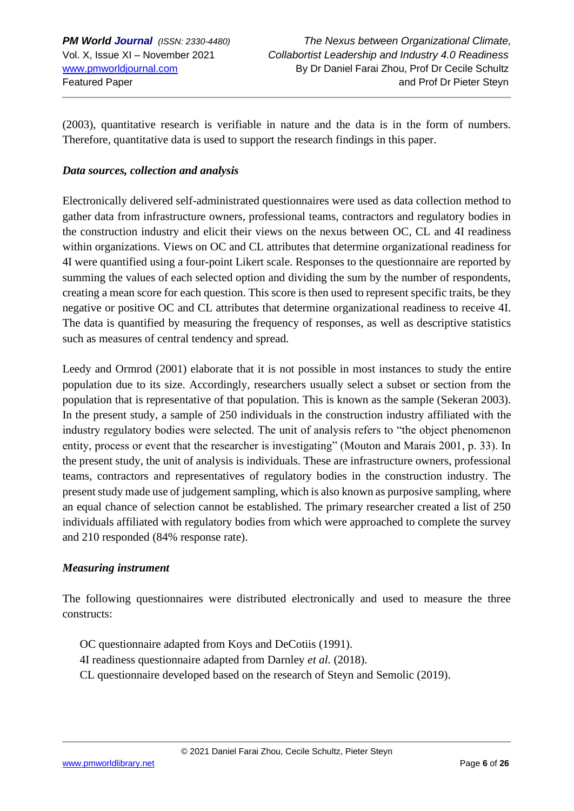(2003), quantitative research is verifiable in nature and the data is in the form of numbers. Therefore, quantitative data is used to support the research findings in this paper.

### *Data sources, collection and analysis*

Electronically delivered self-administrated questionnaires were used as data collection method to gather data from infrastructure owners, professional teams, contractors and regulatory bodies in the construction industry and elicit their views on the nexus between OC, CL and 4I readiness within organizations. Views on OC and CL attributes that determine organizational readiness for 4I were quantified using a four-point Likert scale. Responses to the questionnaire are reported by summing the values of each selected option and dividing the sum by the number of respondents, creating a mean score for each question. This score is then used to represent specific traits, be they negative or positive OC and CL attributes that determine organizational readiness to receive 4I. The data is quantified by measuring the frequency of responses, as well as descriptive statistics such as measures of central tendency and spread.

Leedy and Ormrod (2001) elaborate that it is not possible in most instances to study the entire population due to its size. Accordingly, researchers usually select a subset or section from the population that is representative of that population. This is known as the sample (Sekeran 2003). In the present study, a sample of 250 individuals in the construction industry affiliated with the industry regulatory bodies were selected. The unit of analysis refers to "the object phenomenon entity, process or event that the researcher is investigating" (Mouton and Marais 2001, p. 33). In the present study, the unit of analysis is individuals. These are infrastructure owners, professional teams, contractors and representatives of regulatory bodies in the construction industry. The present study made use of judgement sampling, which is also known as purposive sampling, where an equal chance of selection cannot be established. The primary researcher created a list of 250 individuals affiliated with regulatory bodies from which were approached to complete the survey and 210 responded (84% response rate).

#### *Measuring instrument*

The following questionnaires were distributed electronically and used to measure the three constructs:

- OC questionnaire adapted from Koys and DeCotiis (1991).
- 4I readiness questionnaire adapted from Darnley *et al.* (2018).
- CL questionnaire developed based on the research of Steyn and Semolic (2019).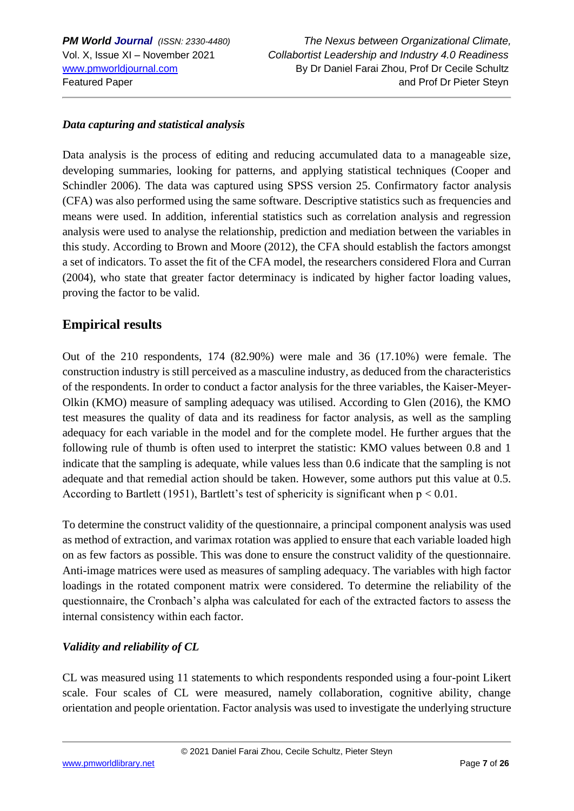#### *Data capturing and statistical analysis*

Data analysis is the process of editing and reducing accumulated data to a manageable size, developing summaries, looking for patterns, and applying statistical techniques (Cooper and Schindler 2006). The data was captured using SPSS version 25. Confirmatory factor analysis (CFA) was also performed using the same software. Descriptive statistics such as frequencies and means were used. In addition, inferential statistics such as correlation analysis and regression analysis were used to analyse the relationship, prediction and mediation between the variables in this study. According to Brown and Moore (2012), the CFA should establish the factors amongst a set of indicators. To asset the fit of the CFA model, the researchers considered Flora and Curran (2004), who state that greater factor determinacy is indicated by higher factor loading values, proving the factor to be valid.

# **Empirical results**

Out of the 210 respondents, 174 (82.90%) were male and 36 (17.10%) were female. The construction industry is still perceived as a masculine industry, as deduced from the characteristics of the respondents. In order to conduct a factor analysis for the three variables, the Kaiser-Meyer-Olkin (KMO) measure of sampling adequacy was utilised. According to Glen (2016), the KMO test measures the quality of data and its readiness for factor analysis, as well as the sampling adequacy for each variable in the model and for the complete model. He further argues that the following rule of thumb is often used to interpret the statistic: KMO values between 0.8 and 1 indicate that the sampling is adequate, while values less than 0.6 indicate that the sampling is not adequate and that remedial action should be taken. However, some authors put this value at 0.5. According to Bartlett (1951), Bartlett's test of sphericity is significant when  $p < 0.01$ .

To determine the construct validity of the questionnaire, a principal component analysis was used as method of extraction, and varimax rotation was applied to ensure that each variable loaded high on as few factors as possible. This was done to ensure the construct validity of the questionnaire. Anti-image matrices were used as measures of sampling adequacy. The variables with high factor loadings in the rotated component matrix were considered. To determine the reliability of the questionnaire, the Cronbach's alpha was calculated for each of the extracted factors to assess the internal consistency within each factor.

#### *Validity and reliability of CL*

CL was measured using 11 statements to which respondents responded using a four-point Likert scale. Four scales of CL were measured, namely collaboration, cognitive ability, change orientation and people orientation. Factor analysis was used to investigate the underlying structure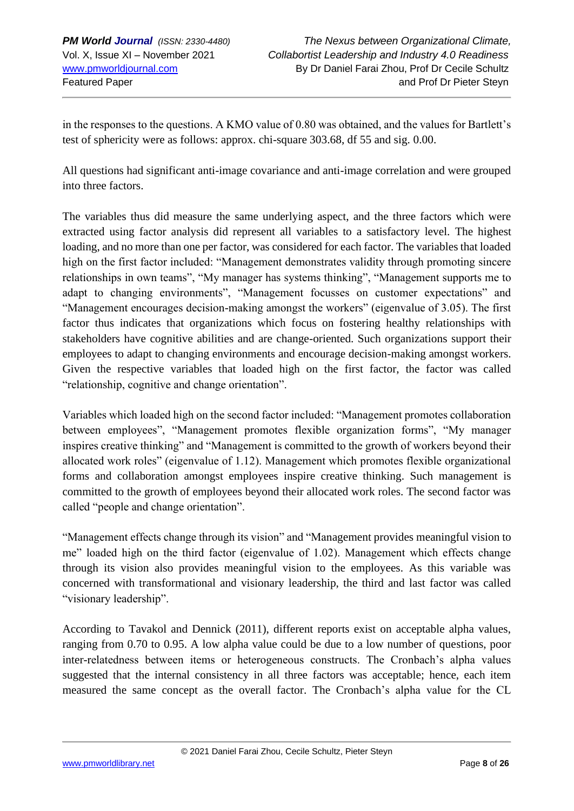in the responses to the questions. A KMO value of 0.80 was obtained, and the values for Bartlett's test of sphericity were as follows: approx. chi-square 303.68, df 55 and sig. 0.00.

All questions had significant anti-image covariance and anti-image correlation and were grouped into three factors.

The variables thus did measure the same underlying aspect, and the three factors which were extracted using factor analysis did represent all variables to a satisfactory level. The highest loading, and no more than one per factor, was considered for each factor. The variables that loaded high on the first factor included: "Management demonstrates validity through promoting sincere relationships in own teams", "My manager has systems thinking", "Management supports me to adapt to changing environments", "Management focusses on customer expectations" and "Management encourages decision-making amongst the workers" (eigenvalue of 3.05). The first factor thus indicates that organizations which focus on fostering healthy relationships with stakeholders have cognitive abilities and are change-oriented. Such organizations support their employees to adapt to changing environments and encourage decision-making amongst workers. Given the respective variables that loaded high on the first factor, the factor was called "relationship, cognitive and change orientation".

Variables which loaded high on the second factor included: "Management promotes collaboration between employees", "Management promotes flexible organization forms", "My manager inspires creative thinking" and "Management is committed to the growth of workers beyond their allocated work roles" (eigenvalue of 1.12). Management which promotes flexible organizational forms and collaboration amongst employees inspire creative thinking. Such management is committed to the growth of employees beyond their allocated work roles. The second factor was called "people and change orientation".

"Management effects change through its vision" and "Management provides meaningful vision to me" loaded high on the third factor (eigenvalue of 1.02). Management which effects change through its vision also provides meaningful vision to the employees. As this variable was concerned with transformational and visionary leadership, the third and last factor was called "visionary leadership".

According to Tavakol and Dennick (2011), different reports exist on acceptable alpha values, ranging from 0.70 to 0.95. A low alpha value could be due to a low number of questions, poor inter-relatedness between items or heterogeneous constructs. The Cronbach's alpha values suggested that the internal consistency in all three factors was acceptable; hence, each item measured the same concept as the overall factor. The Cronbach's alpha value for the CL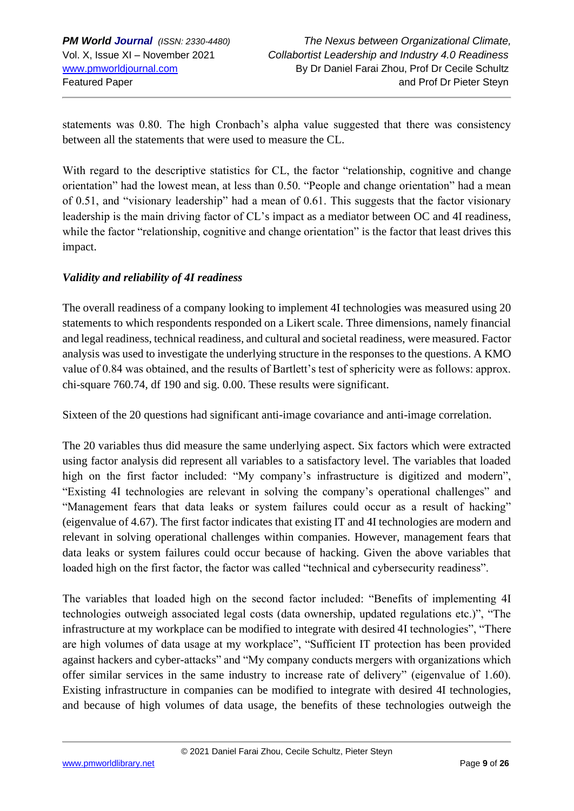statements was 0.80. The high Cronbach's alpha value suggested that there was consistency between all the statements that were used to measure the CL.

With regard to the descriptive statistics for CL, the factor "relationship, cognitive and change orientation" had the lowest mean, at less than 0.50. "People and change orientation" had a mean of 0.51, and "visionary leadership" had a mean of 0.61. This suggests that the factor visionary leadership is the main driving factor of CL's impact as a mediator between OC and 4I readiness, while the factor "relationship, cognitive and change orientation" is the factor that least drives this impact.

#### *Validity and reliability of 4I readiness*

The overall readiness of a company looking to implement 4I technologies was measured using 20 statements to which respondents responded on a Likert scale. Three dimensions, namely financial and legal readiness, technical readiness, and cultural and societal readiness, were measured. Factor analysis was used to investigate the underlying structure in the responses to the questions. A KMO value of 0.84 was obtained, and the results of Bartlett's test of sphericity were as follows: approx. chi-square 760.74, df 190 and sig. 0.00. These results were significant.

Sixteen of the 20 questions had significant anti-image covariance and anti-image correlation.

The 20 variables thus did measure the same underlying aspect. Six factors which were extracted using factor analysis did represent all variables to a satisfactory level. The variables that loaded high on the first factor included: "My company's infrastructure is digitized and modern", "Existing 4I technologies are relevant in solving the company's operational challenges" and "Management fears that data leaks or system failures could occur as a result of hacking" (eigenvalue of 4.67). The first factor indicates that existing IT and 4I technologies are modern and relevant in solving operational challenges within companies. However, management fears that data leaks or system failures could occur because of hacking. Given the above variables that loaded high on the first factor, the factor was called "technical and cybersecurity readiness".

The variables that loaded high on the second factor included: "Benefits of implementing 4I technologies outweigh associated legal costs (data ownership, updated regulations etc.)", "The infrastructure at my workplace can be modified to integrate with desired 4I technologies", "There are high volumes of data usage at my workplace", "Sufficient IT protection has been provided against hackers and cyber-attacks" and "My company conducts mergers with organizations which offer similar services in the same industry to increase rate of delivery" (eigenvalue of 1.60). Existing infrastructure in companies can be modified to integrate with desired 4I technologies, and because of high volumes of data usage, the benefits of these technologies outweigh the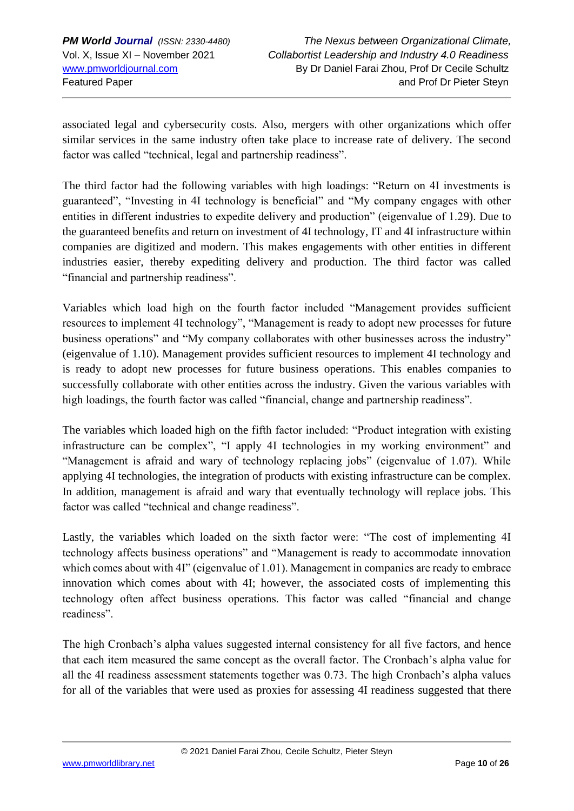associated legal and cybersecurity costs. Also, mergers with other organizations which offer similar services in the same industry often take place to increase rate of delivery. The second factor was called "technical, legal and partnership readiness".

The third factor had the following variables with high loadings: "Return on 4I investments is guaranteed", "Investing in 4I technology is beneficial" and "My company engages with other entities in different industries to expedite delivery and production" (eigenvalue of 1.29). Due to the guaranteed benefits and return on investment of 4I technology, IT and 4I infrastructure within companies are digitized and modern. This makes engagements with other entities in different industries easier, thereby expediting delivery and production. The third factor was called "financial and partnership readiness".

Variables which load high on the fourth factor included "Management provides sufficient resources to implement 4I technology", "Management is ready to adopt new processes for future business operations" and "My company collaborates with other businesses across the industry" (eigenvalue of 1.10). Management provides sufficient resources to implement 4I technology and is ready to adopt new processes for future business operations. This enables companies to successfully collaborate with other entities across the industry. Given the various variables with high loadings, the fourth factor was called "financial, change and partnership readiness".

The variables which loaded high on the fifth factor included: "Product integration with existing infrastructure can be complex", "I apply 4I technologies in my working environment" and "Management is afraid and wary of technology replacing jobs" (eigenvalue of 1.07). While applying 4I technologies, the integration of products with existing infrastructure can be complex. In addition, management is afraid and wary that eventually technology will replace jobs. This factor was called "technical and change readiness".

Lastly, the variables which loaded on the sixth factor were: "The cost of implementing 4I technology affects business operations" and "Management is ready to accommodate innovation which comes about with 4I" (eigenvalue of 1.01). Management in companies are ready to embrace innovation which comes about with 4I; however, the associated costs of implementing this technology often affect business operations. This factor was called "financial and change readiness".

The high Cronbach's alpha values suggested internal consistency for all five factors, and hence that each item measured the same concept as the overall factor. The Cronbach's alpha value for all the 4I readiness assessment statements together was 0.73. The high Cronbach's alpha values for all of the variables that were used as proxies for assessing 4I readiness suggested that there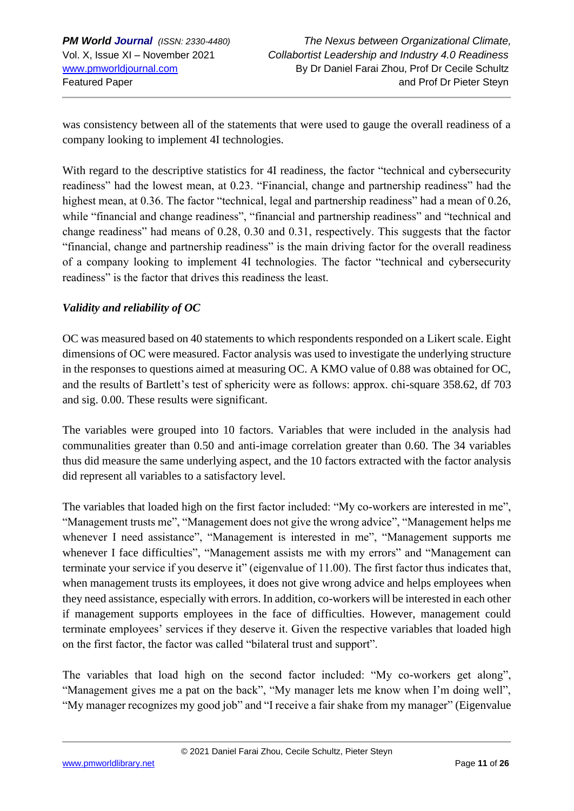was consistency between all of the statements that were used to gauge the overall readiness of a company looking to implement 4I technologies.

With regard to the descriptive statistics for 4I readiness, the factor "technical and cybersecurity readiness" had the lowest mean, at 0.23. "Financial, change and partnership readiness" had the highest mean, at 0.36. The factor "technical, legal and partnership readiness" had a mean of 0.26, while "financial and change readiness", "financial and partnership readiness" and "technical and change readiness" had means of 0.28, 0.30 and 0.31, respectively. This suggests that the factor "financial, change and partnership readiness" is the main driving factor for the overall readiness of a company looking to implement 4I technologies. The factor "technical and cybersecurity readiness" is the factor that drives this readiness the least.

#### *Validity and reliability of OC*

OC was measured based on 40 statements to which respondents responded on a Likert scale. Eight dimensions of OC were measured. Factor analysis was used to investigate the underlying structure in the responses to questions aimed at measuring OC. A KMO value of 0.88 was obtained for OC, and the results of Bartlett's test of sphericity were as follows: approx. chi-square 358.62, df 703 and sig. 0.00. These results were significant.

The variables were grouped into 10 factors. Variables that were included in the analysis had communalities greater than 0.50 and anti-image correlation greater than 0.60. The 34 variables thus did measure the same underlying aspect, and the 10 factors extracted with the factor analysis did represent all variables to a satisfactory level.

The variables that loaded high on the first factor included: "My co-workers are interested in me", "Management trusts me", "Management does not give the wrong advice", "Management helps me whenever I need assistance", "Management is interested in me", "Management supports me whenever I face difficulties", "Management assists me with my errors" and "Management can terminate your service if you deserve it" (eigenvalue of 11.00). The first factor thus indicates that, when management trusts its employees, it does not give wrong advice and helps employees when they need assistance, especially with errors. In addition, co-workers will be interested in each other if management supports employees in the face of difficulties. However, management could terminate employees' services if they deserve it. Given the respective variables that loaded high on the first factor, the factor was called "bilateral trust and support".

The variables that load high on the second factor included: "My co-workers get along", "Management gives me a pat on the back", "My manager lets me know when I'm doing well", "My manager recognizes my good job" and "I receive a fair shake from my manager" (Eigenvalue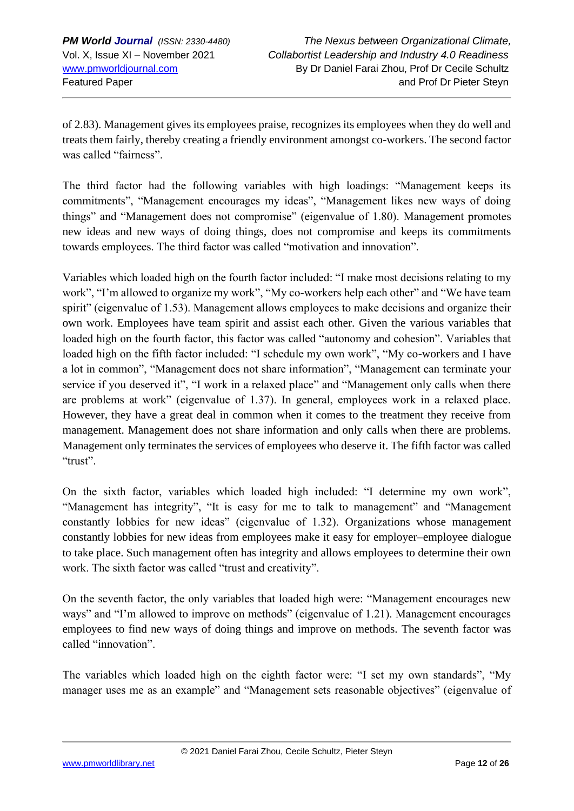of 2.83). Management gives its employees praise, recognizes its employees when they do well and treats them fairly, thereby creating a friendly environment amongst co-workers. The second factor was called "fairness".

The third factor had the following variables with high loadings: "Management keeps its commitments", "Management encourages my ideas", "Management likes new ways of doing things" and "Management does not compromise" (eigenvalue of 1.80). Management promotes new ideas and new ways of doing things, does not compromise and keeps its commitments towards employees. The third factor was called "motivation and innovation".

Variables which loaded high on the fourth factor included: "I make most decisions relating to my work", "I'm allowed to organize my work", "My co-workers help each other" and "We have team spirit" (eigenvalue of 1.53). Management allows employees to make decisions and organize their own work. Employees have team spirit and assist each other. Given the various variables that loaded high on the fourth factor, this factor was called "autonomy and cohesion". Variables that loaded high on the fifth factor included: "I schedule my own work", "My co-workers and I have a lot in common", "Management does not share information", "Management can terminate your service if you deserved it", "I work in a relaxed place" and "Management only calls when there are problems at work" (eigenvalue of 1.37). In general, employees work in a relaxed place. However, they have a great deal in common when it comes to the treatment they receive from management. Management does not share information and only calls when there are problems. Management only terminates the services of employees who deserve it. The fifth factor was called "trust".

On the sixth factor, variables which loaded high included: "I determine my own work", "Management has integrity", "It is easy for me to talk to management" and "Management constantly lobbies for new ideas" (eigenvalue of 1.32). Organizations whose management constantly lobbies for new ideas from employees make it easy for employer–employee dialogue to take place. Such management often has integrity and allows employees to determine their own work. The sixth factor was called "trust and creativity".

On the seventh factor, the only variables that loaded high were: "Management encourages new ways" and "I'm allowed to improve on methods" (eigenvalue of 1.21). Management encourages employees to find new ways of doing things and improve on methods. The seventh factor was called "innovation".

The variables which loaded high on the eighth factor were: "I set my own standards", "My manager uses me as an example" and "Management sets reasonable objectives" (eigenvalue of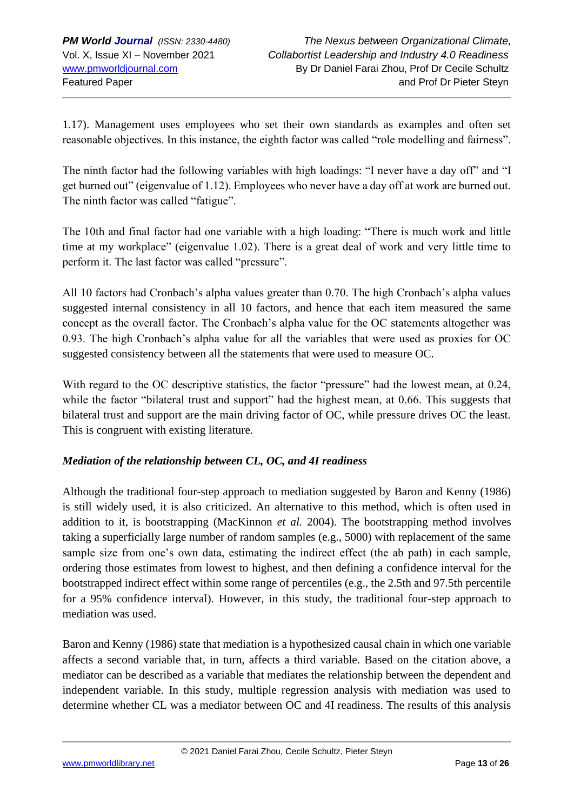1.17). Management uses employees who set their own standards as examples and often set reasonable objectives. In this instance, the eighth factor was called "role modelling and fairness".

The ninth factor had the following variables with high loadings: "I never have a day off" and "I get burned out" (eigenvalue of 1.12). Employees who never have a day off at work are burned out. The ninth factor was called "fatigue".

The 10th and final factor had one variable with a high loading: "There is much work and little time at my workplace" (eigenvalue 1.02). There is a great deal of work and very little time to perform it. The last factor was called "pressure".

All 10 factors had Cronbach's alpha values greater than 0.70. The high Cronbach's alpha values suggested internal consistency in all 10 factors, and hence that each item measured the same concept as the overall factor. The Cronbach's alpha value for the OC statements altogether was 0.93. The high Cronbach's alpha value for all the variables that were used as proxies for OC suggested consistency between all the statements that were used to measure OC.

With regard to the OC descriptive statistics, the factor "pressure" had the lowest mean, at 0.24, while the factor "bilateral trust and support" had the highest mean, at 0.66. This suggests that bilateral trust and support are the main driving factor of OC, while pressure drives OC the least. This is congruent with existing literature.

#### *Mediation of the relationship between CL, OC, and 4I readiness*

Although the traditional four-step approach to mediation suggested by Baron and Kenny (1986) is still widely used, it is also criticized. An alternative to this method, which is often used in addition to it, is bootstrapping (MacKinnon *et al.* 2004). The bootstrapping method involves taking a superficially large number of random samples (e.g., 5000) with replacement of the same sample size from one's own data, estimating the indirect effect (the ab path) in each sample, ordering those estimates from lowest to highest, and then defining a confidence interval for the bootstrapped indirect effect within some range of percentiles (e.g., the 2.5th and 97.5th percentile for a 95% confidence interval). However, in this study, the traditional four-step approach to mediation was used.

Baron and Kenny (1986) state that mediation is a hypothesized causal chain in which one variable affects a second variable that, in turn, affects a third variable. Based on the citation above, a mediator can be described as a variable that mediates the relationship between the dependent and independent variable. In this study, multiple regression analysis with mediation was used to determine whether CL was a mediator between OC and 4I readiness. The results of this analysis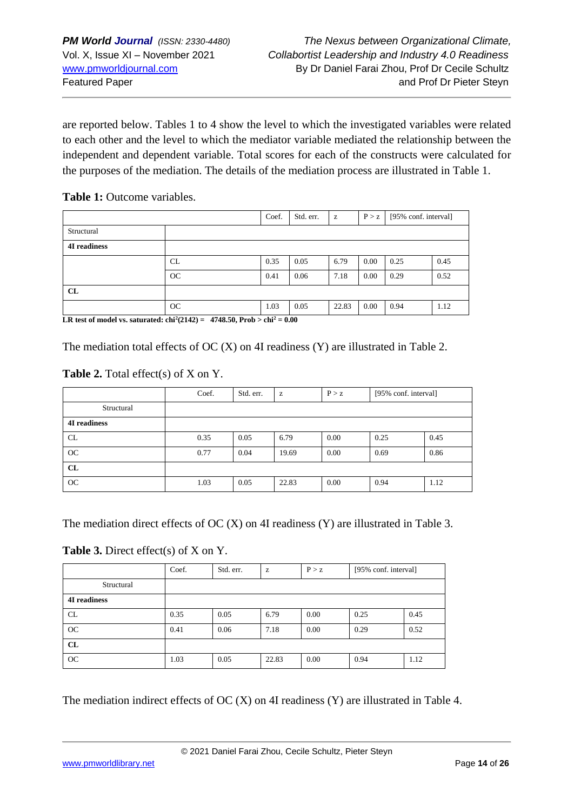are reported below. Tables 1 to 4 show the level to which the investigated variables were related to each other and the level to which the mediator variable mediated the relationship between the independent and dependent variable. Total scores for each of the constructs were calculated for the purposes of the mediation. The details of the mediation process are illustrated in Table 1.

#### **Table 1:** Outcome variables.

|                                                                                                                                                                                                                                                                                                                                                                                                                                             |                              | Coef. | Std. err. | $\mathbf{Z}% ^{T}=\mathbf{Z}^{T}\times\mathbf{Z}^{T}$ | P > z | [95% conf. interval] |      |
|---------------------------------------------------------------------------------------------------------------------------------------------------------------------------------------------------------------------------------------------------------------------------------------------------------------------------------------------------------------------------------------------------------------------------------------------|------------------------------|-------|-----------|-------------------------------------------------------|-------|----------------------|------|
| Structural                                                                                                                                                                                                                                                                                                                                                                                                                                  |                              |       |           |                                                       |       |                      |      |
| <b>4I</b> readiness                                                                                                                                                                                                                                                                                                                                                                                                                         |                              |       |           |                                                       |       |                      |      |
|                                                                                                                                                                                                                                                                                                                                                                                                                                             | CL                           | 0.35  | 0.05      | 6.79                                                  | 0.00  | 0.25                 | 0.45 |
|                                                                                                                                                                                                                                                                                                                                                                                                                                             | OC                           | 0.41  | 0.06      | 7.18                                                  | 0.00  | 0.29                 | 0.52 |
| CL                                                                                                                                                                                                                                                                                                                                                                                                                                          |                              |       |           |                                                       |       |                      |      |
| $\mathbf{r} \cdot \mathbf{n}$ , $\mathbf{r} \cdot \mathbf{n}$ , $\mathbf{r} \cdot \mathbf{n}$ , $\mathbf{r} \cdot \mathbf{n}$ , $\mathbf{r} \cdot \mathbf{n}$ , $\mathbf{r} \cdot \mathbf{n}$ , $\mathbf{r} \cdot \mathbf{n}$ , $\mathbf{r} \cdot \mathbf{n}$ , $\mathbf{n} \cdot \mathbf{n}$ , $\mathbf{n} \cdot \mathbf{n}$ , $\mathbf{n} \cdot \mathbf{n}$ , $\mathbf{n} \cdot \mathbf{n}$ , $\mathbf{n} \cdot \mathbf{n}$ , $\mathbf{n$ | OC<br>$40.40 - 0.32 + 1.260$ | 1.03  | 0.05      | 22.83                                                 | 0.00  | 0.94                 | 1.12 |

**LR** test of model vs. saturated:  $\text{chi}^2(2142) = 4748.50$ , Prob  $> \text{chi}^2 = 0.00$ 

The mediation total effects of OC (X) on 4I readiness (Y) are illustrated in Table 2.

#### Table 2. Total effect(s) of X on Y.

|                     | Coef. | Std. err. | z     | P > z | [95% conf. interval] |      |
|---------------------|-------|-----------|-------|-------|----------------------|------|
| Structural          |       |           |       |       |                      |      |
| <b>4I</b> readiness |       |           |       |       |                      |      |
| CL                  | 0.35  | 0.05      | 6.79  | 0.00  | 0.25                 | 0.45 |
| OC                  | 0.77  | 0.04      | 19.69 | 0.00  | 0.69                 | 0.86 |
| CL                  |       |           |       |       |                      |      |
| OC                  | 1.03  | 0.05      | 22.83 | 0.00  | 0.94                 | 1.12 |

The mediation direct effects of  $OC(X)$  on 4I readiness  $(Y)$  are illustrated in Table 3.

#### **Table 3.** Direct effect(s) of X on Y.

|                     | Coef. | Std. err. | z     | P > z    | [95% conf. interval] |      |
|---------------------|-------|-----------|-------|----------|----------------------|------|
| Structural          |       |           |       |          |                      |      |
| <b>4I</b> readiness |       |           |       |          |                      |      |
| CL                  | 0.35  | 0.05      | 6.79  | 0.00     | 0.25                 | 0.45 |
| OC                  | 0.41  | 0.06      | 7.18  | $0.00\,$ | 0.29                 | 0.52 |
| CL                  |       |           |       |          |                      |      |
| OC                  | 1.03  | 0.05      | 22.83 | 0.00     | 0.94                 | 1.12 |

The mediation indirect effects of OC (X) on 4I readiness (Y) are illustrated in Table 4.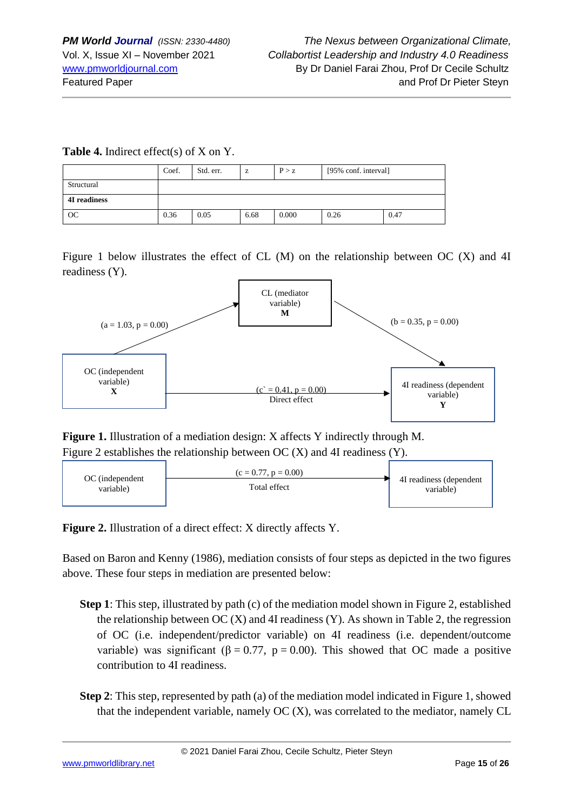#### **Table 4.** Indirect effect(s) of X on Y.

|              | Coef. | Std. err. | z    | P > z | [95% conf. interval] |      |  |
|--------------|-------|-----------|------|-------|----------------------|------|--|
| Structural   |       |           |      |       |                      |      |  |
| 4I readiness |       |           |      |       |                      |      |  |
| OC           | 0.36  | 0.05      | 6.68 | 0.000 | 0.26                 | 0.47 |  |

Figure 1 below illustrates the effect of CL (M) on the relationship between OC (X) and 4I readiness (Y).



**Figure 1.** Illustration of a mediation design: X affects Y indirectly through M. Figure 2 establishes the relationship between OC (X) and 4I readiness (Y).



Figure 2. Illustration of a direct effect: X directly affects Y.

Based on Baron and Kenny (1986), mediation consists of four steps as depicted in the two figures above. These four steps in mediation are presented below:

- **Step 1**: This step, illustrated by path (c) of the mediation model shown in Figure 2, established the relationship between  $OC(X)$  and 4I readiness  $(Y)$ . As shown in Table 2, the regression of OC (i.e. independent/predictor variable) on 4I readiness (i.e. dependent/outcome variable) was significant ( $\beta = 0.77$ ,  $p = 0.00$ ). This showed that OC made a positive contribution to 4I readiness.
- **Step 2**: This step, represented by path (a) of the mediation model indicated in Figure 1, showed that the independent variable, namely OC (X), was correlated to the mediator, namely CL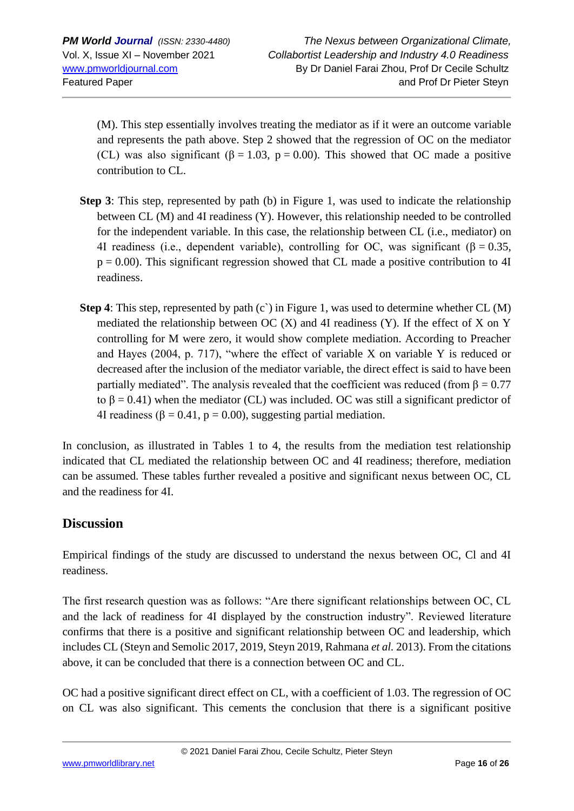(M). This step essentially involves treating the mediator as if it were an outcome variable and represents the path above. Step 2 showed that the regression of OC on the mediator (CL) was also significant ( $\beta = 1.03$ ,  $p = 0.00$ ). This showed that OC made a positive contribution to CL.

- **Step 3**: This step, represented by path (b) in Figure 1, was used to indicate the relationship between CL (M) and 4I readiness (Y). However, this relationship needed to be controlled for the independent variable. In this case, the relationship between CL (i.e., mediator) on 4I readiness (i.e., dependent variable), controlling for OC, was significant ( $\beta = 0.35$ ,  $p = 0.00$ ). This significant regression showed that CL made a positive contribution to 4I readiness.
- **Step 4**: This step, represented by path (c) in Figure 1, was used to determine whether CL (M) mediated the relationship between  $OC(X)$  and 4I readiness  $(Y)$ . If the effect of X on Y controlling for M were zero, it would show complete mediation. According to Preacher and Hayes (2004, p. 717), "where the effect of variable X on variable Y is reduced or decreased after the inclusion of the mediator variable, the direct effect is said to have been partially mediated". The analysis revealed that the coefficient was reduced (from  $\beta = 0.77$ to  $β = 0.41$ ) when the mediator (CL) was included. OC was still a significant predictor of 4I readiness ( $\beta$  = 0.41, p = 0.00), suggesting partial mediation.

In conclusion, as illustrated in Tables 1 to 4, the results from the mediation test relationship indicated that CL mediated the relationship between OC and 4I readiness; therefore, mediation can be assumed. These tables further revealed a positive and significant nexus between OC, CL and the readiness for 4I.

# **Discussion**

Empirical findings of the study are discussed to understand the nexus between OC, Cl and 4I readiness.

The first research question was as follows: "Are there significant relationships between OC, CL and the lack of readiness for 4I displayed by the construction industry". Reviewed literature confirms that there is a positive and significant relationship between OC and leadership, which includes CL (Steyn and Semolic 2017, 2019, Steyn 2019, Rahmana *et al.* 2013). From the citations above, it can be concluded that there is a connection between OC and CL.

OC had a positive significant direct effect on CL, with a coefficient of 1.03. The regression of OC on CL was also significant. This cements the conclusion that there is a significant positive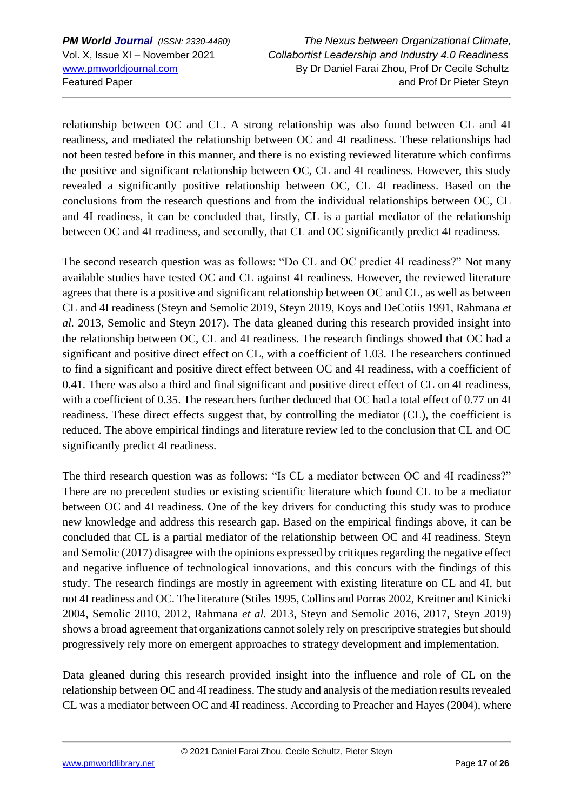relationship between OC and CL. A strong relationship was also found between CL and 4I readiness, and mediated the relationship between OC and 4I readiness. These relationships had not been tested before in this manner, and there is no existing reviewed literature which confirms the positive and significant relationship between OC, CL and 4I readiness. However, this study revealed a significantly positive relationship between OC, CL 4I readiness. Based on the conclusions from the research questions and from the individual relationships between OC, CL and 4I readiness, it can be concluded that, firstly, CL is a partial mediator of the relationship between OC and 4I readiness, and secondly, that CL and OC significantly predict 4I readiness.

The second research question was as follows: "Do CL and OC predict 4I readiness?" Not many available studies have tested OC and CL against 4I readiness. However, the reviewed literature agrees that there is a positive and significant relationship between OC and CL, as well as between CL and 4I readiness (Steyn and Semolic 2019, Steyn 2019, Koys and DeCotiis 1991, Rahmana *et al.* 2013, Semolic and Steyn 2017). The data gleaned during this research provided insight into the relationship between OC, CL and 4I readiness. The research findings showed that OC had a significant and positive direct effect on CL, with a coefficient of 1.03. The researchers continued to find a significant and positive direct effect between OC and 4I readiness, with a coefficient of 0.41. There was also a third and final significant and positive direct effect of CL on 4I readiness, with a coefficient of 0.35. The researchers further deduced that OC had a total effect of 0.77 on 4I readiness. These direct effects suggest that, by controlling the mediator (CL), the coefficient is reduced. The above empirical findings and literature review led to the conclusion that CL and OC significantly predict 4I readiness.

The third research question was as follows: "Is CL a mediator between OC and 4I readiness?" There are no precedent studies or existing scientific literature which found CL to be a mediator between OC and 4I readiness. One of the key drivers for conducting this study was to produce new knowledge and address this research gap. Based on the empirical findings above, it can be concluded that CL is a partial mediator of the relationship between OC and 4I readiness. Steyn and Semolic (2017) disagree with the opinions expressed by critiques regarding the negative effect and negative influence of technological innovations, and this concurs with the findings of this study. The research findings are mostly in agreement with existing literature on CL and 4I, but not 4I readiness and OC. The literature (Stiles 1995, Collins and Porras 2002, Kreitner and Kinicki 2004, Semolic 2010, 2012, Rahmana *et al.* 2013, Steyn and Semolic 2016, 2017, Steyn 2019) shows a broad agreement that organizations cannot solely rely on prescriptive strategies but should progressively rely more on emergent approaches to strategy development and implementation.

Data gleaned during this research provided insight into the influence and role of CL on the relationship between OC and 4I readiness. The study and analysis of the mediation results revealed CL was a mediator between OC and 4I readiness. According to Preacher and Hayes (2004), where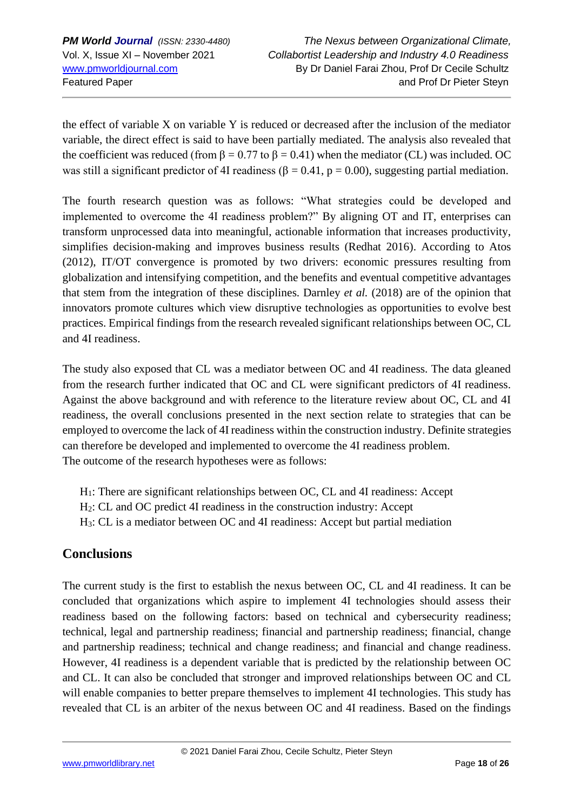the effect of variable X on variable Y is reduced or decreased after the inclusion of the mediator variable, the direct effect is said to have been partially mediated. The analysis also revealed that the coefficient was reduced (from  $\beta = 0.77$  to  $\beta = 0.41$ ) when the mediator (CL) was included. OC was still a significant predictor of 4I readiness ( $\beta = 0.41$ ,  $p = 0.00$ ), suggesting partial mediation.

The fourth research question was as follows: "What strategies could be developed and implemented to overcome the 4I readiness problem?" By aligning OT and IT, enterprises can transform unprocessed data into meaningful, actionable information that increases productivity, simplifies decision-making and improves business results (Redhat 2016). According to Atos (2012), IT/OT convergence is promoted by two drivers: economic pressures resulting from globalization and intensifying competition, and the benefits and eventual competitive advantages that stem from the integration of these disciplines. Darnley *et al.* (2018) are of the opinion that innovators promote cultures which view disruptive technologies as opportunities to evolve best practices. Empirical findings from the research revealed significant relationships between OC, CL and 4I readiness.

The study also exposed that CL was a mediator between OC and 4I readiness. The data gleaned from the research further indicated that OC and CL were significant predictors of 4I readiness. Against the above background and with reference to the literature review about OC, CL and 4I readiness, the overall conclusions presented in the next section relate to strategies that can be employed to overcome the lack of 4I readiness within the construction industry. Definite strategies can therefore be developed and implemented to overcome the 4I readiness problem. The outcome of the research hypotheses were as follows:

- H1: There are significant relationships between OC, CL and 4I readiness: Accept
- H2: CL and OC predict 4I readiness in the construction industry: Accept
- H3: CL is a mediator between OC and 4I readiness: Accept but partial mediation

# **Conclusions**

The current study is the first to establish the nexus between OC, CL and 4I readiness. It can be concluded that organizations which aspire to implement 4I technologies should assess their readiness based on the following factors: based on technical and cybersecurity readiness; technical, legal and partnership readiness; financial and partnership readiness; financial, change and partnership readiness; technical and change readiness; and financial and change readiness. However, 4I readiness is a dependent variable that is predicted by the relationship between OC and CL. It can also be concluded that stronger and improved relationships between OC and CL will enable companies to better prepare themselves to implement 4I technologies. This study has revealed that CL is an arbiter of the nexus between OC and 4I readiness. Based on the findings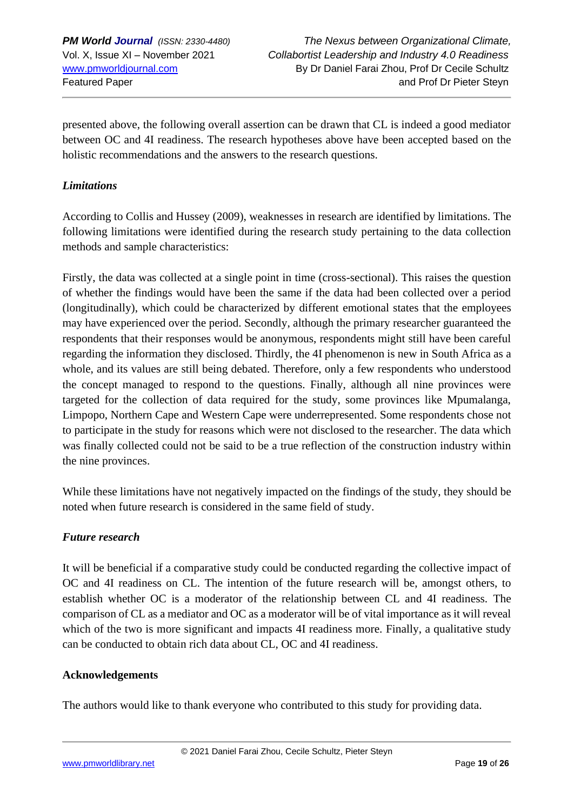presented above, the following overall assertion can be drawn that CL is indeed a good mediator between OC and 4I readiness. The research hypotheses above have been accepted based on the holistic recommendations and the answers to the research questions.

### *Limitations*

According to Collis and Hussey (2009), weaknesses in research are identified by limitations. The following limitations were identified during the research study pertaining to the data collection methods and sample characteristics:

Firstly, the data was collected at a single point in time (cross-sectional). This raises the question of whether the findings would have been the same if the data had been collected over a period (longitudinally), which could be characterized by different emotional states that the employees may have experienced over the period. Secondly, although the primary researcher guaranteed the respondents that their responses would be anonymous, respondents might still have been careful regarding the information they disclosed. Thirdly, the 4I phenomenon is new in South Africa as a whole, and its values are still being debated. Therefore, only a few respondents who understood the concept managed to respond to the questions. Finally, although all nine provinces were targeted for the collection of data required for the study, some provinces like Mpumalanga, Limpopo, Northern Cape and Western Cape were underrepresented. Some respondents chose not to participate in the study for reasons which were not disclosed to the researcher. The data which was finally collected could not be said to be a true reflection of the construction industry within the nine provinces.

While these limitations have not negatively impacted on the findings of the study, they should be noted when future research is considered in the same field of study.

# *Future research*

It will be beneficial if a comparative study could be conducted regarding the collective impact of OC and 4I readiness on CL. The intention of the future research will be, amongst others, to establish whether OC is a moderator of the relationship between CL and 4I readiness. The comparison of CL as a mediator and OC as a moderator will be of vital importance as it will reveal which of the two is more significant and impacts 4I readiness more. Finally, a qualitative study can be conducted to obtain rich data about CL, OC and 4I readiness.

#### **Acknowledgements**

The authors would like to thank everyone who contributed to this study for providing data.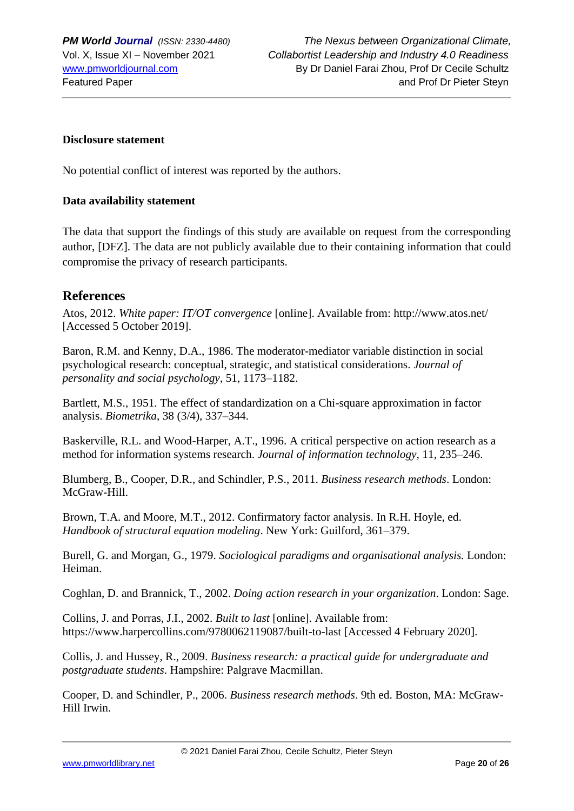#### **Disclosure statement**

No potential conflict of interest was reported by the authors.

#### **Data availability statement**

The data that support the findings of this study are available on request from the corresponding author, [DFZ]. The data are not publicly available due to their containing information that could compromise the privacy of research participants.

### **References**

Atos, 2012. *White paper: IT/OT convergence* [online]. Available from: http://www.atos.net/ [Accessed 5 October 2019].

Baron, R.M. and Kenny, D.A., 1986. The moderator-mediator variable distinction in social psychological research: conceptual, strategic, and statistical considerations. *Journal of personality and social psychology*, 51, 1173–1182.

Bartlett, M.S., 1951. The effect of standardization on a Chi-square approximation in factor analysis. *Biometrika*, 38 (3/4), 337–344.

Baskerville, R.L. and Wood-Harper, A.T., 1996. A critical perspective on action research as a method for information systems research. *Journal of information technology*, 11, 235–246.

Blumberg, B., Cooper, D.R., and Schindler, P.S., 2011. *Business research methods*. London: McGraw-Hill.

Brown, T.A. and Moore, M.T., 2012. Confirmatory factor analysis. In R.H. Hoyle, ed. *Handbook of structural equation modeling*. New York: Guilford, 361–379.

Burell, G. and Morgan, G., 1979. *Sociological paradigms and organisational analysis.* London: Heiman.

Coghlan, D. and Brannick, T., 2002. *Doing action research in your organization*. London: Sage.

Collins, J. and Porras, J.I., 2002. *Built to last* [online]. Available from: https://www.harpercollins.com/9780062119087/built-to-last [Accessed 4 February 2020].

Collis, J. and Hussey, R., 2009. *Business research: a practical guide for undergraduate and postgraduate students*. Hampshire: Palgrave Macmillan.

Cooper, D. and Schindler, P., 2006. *Business research methods*. 9th ed. Boston, MA: McGraw-Hill Irwin.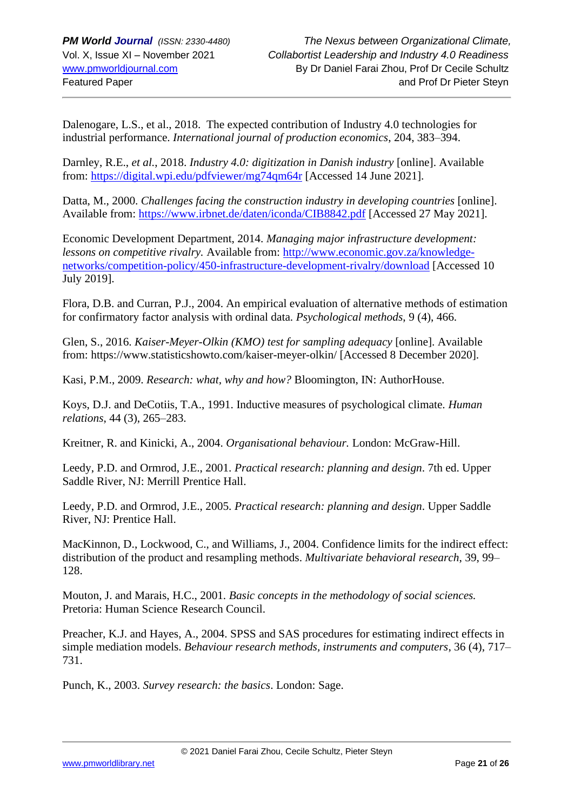Dalenogare, L.S., et al., 2018. The expected contribution of Industry 4.0 technologies for industrial performance. *International journal of production economics*, 204, 383–394.

Darnley, R.E., *et al.*, 2018. *Industry 4.0: digitization in Danish industry* [online]. Available from:<https://digital.wpi.edu/pdfviewer/mg74qm64r> [Accessed 14 June 2021].

Datta, M., 2000. *Challenges facing the construction industry in developing countries* [online]. Available from:<https://www.irbnet.de/daten/iconda/CIB8842.pdf> [Accessed 27 May 2021].

Economic Development Department, 2014. *Managing major infrastructure development: lessons on competitive rivalry.* Available from: [http://www.economic.gov.za/knowledge](http://www.economic.gov.za/knowledge-networks/competition-policy/450-infrastructure-development-rivalry/download)[networks/competition-policy/450-infrastructure-development-rivalry/download](http://www.economic.gov.za/knowledge-networks/competition-policy/450-infrastructure-development-rivalry/download) [Accessed 10 July 2019].

Flora, D.B. and Curran, P.J., 2004. An empirical evaluation of alternative methods of estimation for confirmatory factor analysis with ordinal data. *Psychological methods*, 9 (4), 466.

Glen, S., 2016. *Kaiser-Meyer-Olkin (KMO) test for sampling adequacy* [online]. Available from: https://www.statisticshowto.com/kaiser-meyer-olkin/ [Accessed 8 December 2020].

Kasi, P.M., 2009. *Research: what, why and how?* Bloomington, IN: AuthorHouse.

Koys, D.J. and DeCotiis, T.A., 1991. Inductive measures of psychological climate. *Human relations*, 44 (3), 265–283.

Kreitner, R. and Kinicki, A., 2004. *Organisational behaviour.* London: McGraw-Hill.

Leedy, P.D. and Ormrod, J.E., 2001. *Practical research: planning and design*. 7th ed. Upper Saddle River, NJ: Merrill Prentice Hall.

Leedy, P.D. and Ormrod, J.E., 2005. *Practical research: planning and design*. Upper Saddle River, NJ: Prentice Hall.

MacKinnon, D., Lockwood, C., and Williams, J., 2004. Confidence limits for the indirect effect: distribution of the product and resampling methods. *Multivariate behavioral research*, 39, 99– 128.

Mouton, J. and Marais, H.C., 2001*. Basic concepts in the methodology of social sciences.* Pretoria: Human Science Research Council.

Preacher, K.J. and Hayes, A., 2004. SPSS and SAS procedures for estimating indirect effects in simple mediation models. *Behaviour research methods, instruments and computers*, 36 (4), 717– 731.

Punch, K., 2003. *Survey research: the basics*. London: Sage.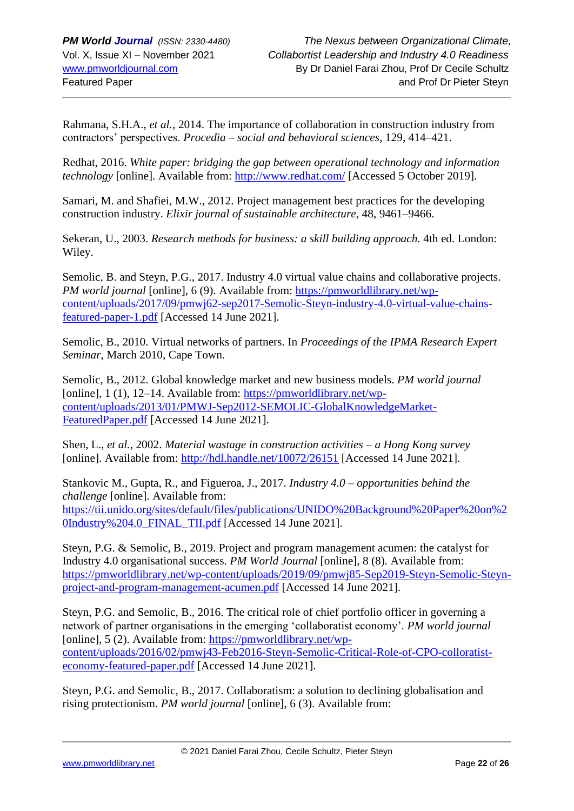Rahmana, S.H.A., *et al.*, 2014. The importance of collaboration in construction industry from contractors' perspectives. *Procedia – social and behavioral sciences*, 129, 414–421.

Redhat, 2016. *White paper: bridging the gap between operational technology and information technology* [online]. Available from:<http://www.redhat.com/> [Accessed 5 October 2019].

Samari, M. and Shafiei, M.W., 2012. Project management best practices for the developing construction industry. *Elixir journal of sustainable architecture*, 48, 9461–9466.

Sekeran, U., 2003. *Research methods for business: a skill building approach.* 4th ed. London: Wiley.

Semolic, B. and Steyn, P.G., 2017. Industry 4.0 virtual value chains and collaborative projects. *PM world journal* [online], 6 (9). Available from: [https://pmworldlibrary.net/wp](https://pmworldlibrary.net/wp-content/uploads/2017/09/pmwj62-sep2017-Semolic-Steyn-industry-4.0-virtual-value-chains-featured-paper-1.pdf)[content/uploads/2017/09/pmwj62-sep2017-Semolic-Steyn-industry-4.0-virtual-value-chains](https://pmworldlibrary.net/wp-content/uploads/2017/09/pmwj62-sep2017-Semolic-Steyn-industry-4.0-virtual-value-chains-featured-paper-1.pdf)[featured-paper-1.pdf](https://pmworldlibrary.net/wp-content/uploads/2017/09/pmwj62-sep2017-Semolic-Steyn-industry-4.0-virtual-value-chains-featured-paper-1.pdf) [Accessed 14 June 2021].

Semolic, B., 2010. Virtual networks of partners. In *Proceedings of the IPMA Research Expert Seminar*, March 2010, Cape Town.

Semolic, B., 2012. Global knowledge market and new business models. *PM world journal*  [online], 1 (1), 12–14. Available from: [https://pmworldlibrary.net/wp](https://pmworldlibrary.net/wp-content/uploads/2013/01/PMWJ-Sep2012-SEMOLIC-GlobalKnowledgeMarket-FeaturedPaper.pdf)[content/uploads/2013/01/PMWJ-Sep2012-SEMOLIC-GlobalKnowledgeMarket-](https://pmworldlibrary.net/wp-content/uploads/2013/01/PMWJ-Sep2012-SEMOLIC-GlobalKnowledgeMarket-FeaturedPaper.pdf)[FeaturedPaper.pdf](https://pmworldlibrary.net/wp-content/uploads/2013/01/PMWJ-Sep2012-SEMOLIC-GlobalKnowledgeMarket-FeaturedPaper.pdf) [Accessed 14 June 2021].

Shen, L., *et al.*, 2002. *Material wastage in construction activities – a Hong Kong survey* [online]. Available from:<http://hdl.handle.net/10072/26151> [Accessed 14 June 2021].

Stankovic M., Gupta, R., and Figueroa, J., 2017. *Industry 4.0 – opportunities behind the challenge* [online]. Available from: [https://tii.unido.org/sites/default/files/publications/UNIDO%20Background%20Paper%20on%2](https://tii.unido.org/sites/default/files/publications/UNIDO%20Background%20Paper%20on%20Industry%204.0_FINAL_TII.pdf) [0Industry%204.0\\_FINAL\\_TII.pdf](https://tii.unido.org/sites/default/files/publications/UNIDO%20Background%20Paper%20on%20Industry%204.0_FINAL_TII.pdf) [Accessed 14 June 2021].

Steyn, P.G. & Semolic, B., 2019. Project and program management acumen: the catalyst for Industry 4.0 organisational success. *PM World Journal* [online], 8 (8). Available from: [https://pmworldlibrary.net/wp-content/uploads/2019/09/pmwj85-Sep2019-Steyn-Semolic-Steyn](https://pmworldlibrary.net/wp-content/uploads/2019/09/pmwj85-Sep2019-Steyn-Semolic-Steyn-project-and-program-management-acumen.pdf)[project-and-program-management-acumen.pdf](https://pmworldlibrary.net/wp-content/uploads/2019/09/pmwj85-Sep2019-Steyn-Semolic-Steyn-project-and-program-management-acumen.pdf) [Accessed 14 June 2021].

Steyn, P.G. and Semolic, B., 2016. The critical role of chief portfolio officer in governing a network of partner organisations in the emerging 'collaboratist economy'. *PM world journal*  [online], 5 (2). Available from: [https://pmworldlibrary.net/wp](https://pmworldlibrary.net/wp-content/uploads/2016/02/pmwj43-Feb2016-Steyn-Semolic-Critical-Role-of-CPO-colloratist-economy-featured-paper.pdf)[content/uploads/2016/02/pmwj43-Feb2016-Steyn-Semolic-Critical-Role-of-CPO-colloratist](https://pmworldlibrary.net/wp-content/uploads/2016/02/pmwj43-Feb2016-Steyn-Semolic-Critical-Role-of-CPO-colloratist-economy-featured-paper.pdf)[economy-featured-paper.pdf](https://pmworldlibrary.net/wp-content/uploads/2016/02/pmwj43-Feb2016-Steyn-Semolic-Critical-Role-of-CPO-colloratist-economy-featured-paper.pdf) [Accessed 14 June 2021].

Steyn, P.G. and Semolic, B., 2017. Collaboratism: a solution to declining globalisation and rising protectionism. *PM world journal* [online], 6 (3). Available from: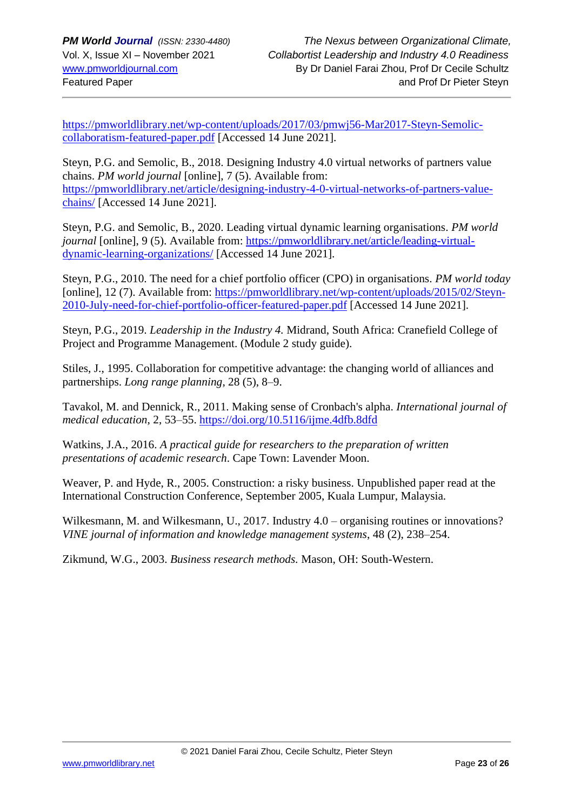[https://pmworldlibrary.net/wp-content/uploads/2017/03/pmwj56-Mar2017-Steyn-Semolic](https://pmworldlibrary.net/wp-content/uploads/2017/03/pmwj56-Mar2017-Steyn-Semolic-collaboratism-featured-paper.pdf)[collaboratism-featured-paper.pdf](https://pmworldlibrary.net/wp-content/uploads/2017/03/pmwj56-Mar2017-Steyn-Semolic-collaboratism-featured-paper.pdf) [Accessed 14 June 2021].

Steyn, P.G. and Semolic, B., 2018. Designing Industry 4.0 virtual networks of partners value chains. *PM world journal* [online], 7 (5). Available from: [https://pmworldlibrary.net/article/designing-industry-4-0-virtual-networks-of-partners-value](https://pmworldlibrary.net/article/designing-industry-4-0-virtual-networks-of-partners-value-chains/)[chains/](https://pmworldlibrary.net/article/designing-industry-4-0-virtual-networks-of-partners-value-chains/) [Accessed 14 June 2021].

Steyn, P.G. and Semolic, B., 2020. Leading virtual dynamic learning organisations. *PM world journal* [online], 9 (5). Available from: [https://pmworldlibrary.net/article/leading-virtual](https://pmworldlibrary.net/article/leading-virtual-dynamic-learning-organizations/)[dynamic-learning-organizations/](https://pmworldlibrary.net/article/leading-virtual-dynamic-learning-organizations/) [Accessed 14 June 2021].

Steyn, P.G., 2010. The need for a chief portfolio officer (CPO) in organisations. *PM world today*  [online], 12 (7). Available from: [https://pmworldlibrary.net/wp-content/uploads/2015/02/Steyn-](https://pmworldlibrary.net/wp-content/uploads/2015/02/Steyn-2010-July-need-for-chief-portfolio-officer-featured-paper.pdf)[2010-July-need-for-chief-portfolio-officer-featured-paper.pdf](https://pmworldlibrary.net/wp-content/uploads/2015/02/Steyn-2010-July-need-for-chief-portfolio-officer-featured-paper.pdf) [Accessed 14 June 2021].

Steyn, P.G., 2019. *Leadership in the Industry 4.* Midrand, South Africa: Cranefield College of Project and Programme Management. (Module 2 study guide).

Stiles, J., 1995. Collaboration for competitive advantage: the changing world of alliances and partnerships. *Long range planning*, 28 (5), 8–9.

Tavakol, M. and Dennick, R., 2011. Making sense of Cronbach's alpha. *International journal of medical education*, 2, 53–55.<https://doi.org/10.5116/ijme.4dfb.8dfd>

Watkins, J.A., 2016. *A practical guide for researchers to the preparation of written presentations of academic research*. Cape Town: Lavender Moon.

Weaver, P. and Hyde, R., 2005. Construction: a risky business. Unpublished paper read at the International Construction Conference, September 2005, Kuala Lumpur, Malaysia.

Wilkesmann, M. and Wilkesmann, U., 2017. Industry  $4.0$  – organising routines or innovations? *VINE journal of information and knowledge management systems*, 48 (2), 238–254.

Zikmund, W.G., 2003. *Business research methods.* Mason, OH: South-Western.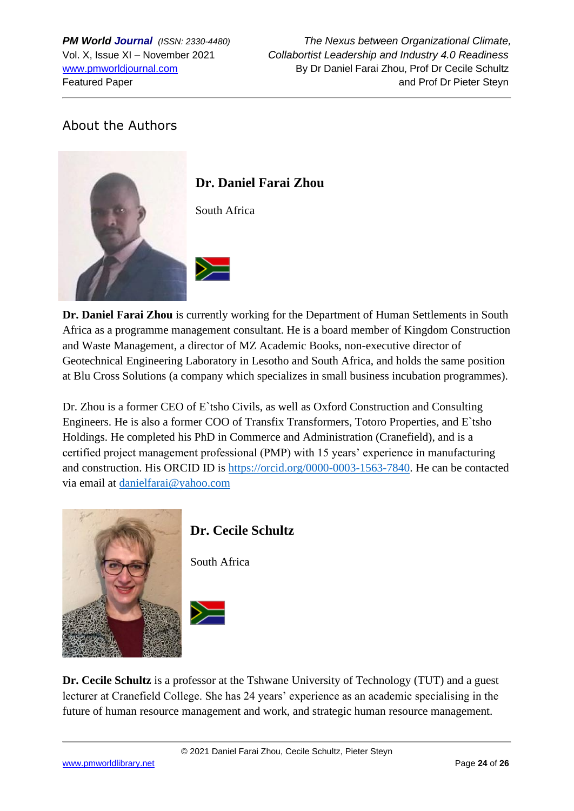# About the Authors



# **Dr. Daniel Farai Zhou**

South Africa

**Dr. Daniel Farai Zhou** is currently working for the Department of Human Settlements in South Africa as a programme management consultant. He is a board member of Kingdom Construction and Waste Management, a director of MZ Academic Books, non-executive director of Geotechnical Engineering Laboratory in Lesotho and South Africa, and holds the same position at Blu Cross Solutions (a company which specializes in small business incubation programmes).

Dr. Zhou is a former CEO of E`tsho Civils, as well as Oxford Construction and Consulting Engineers. He is also a former COO of Transfix Transformers, Totoro Properties, and E`tsho Holdings. He completed his PhD in Commerce and Administration (Cranefield), and is a certified project management professional (PMP) with 15 years' experience in manufacturing and construction. His ORCID ID is [https://orcid.org/0000-0003-1563-7840.](https://orcid.org/0000-0003-1563-7840) He can be contacted via email at [danielfarai@yahoo.com](mailto:danielfarai@yahoo.com)



# **Dr. Cecile Schultz**

South Africa



**Dr. Cecile Schultz** is a professor at the Tshwane University of Technology (TUT) and a guest lecturer at Cranefield College. She has 24 years' experience as an academic specialising in the future of human resource management and work, and strategic human resource management.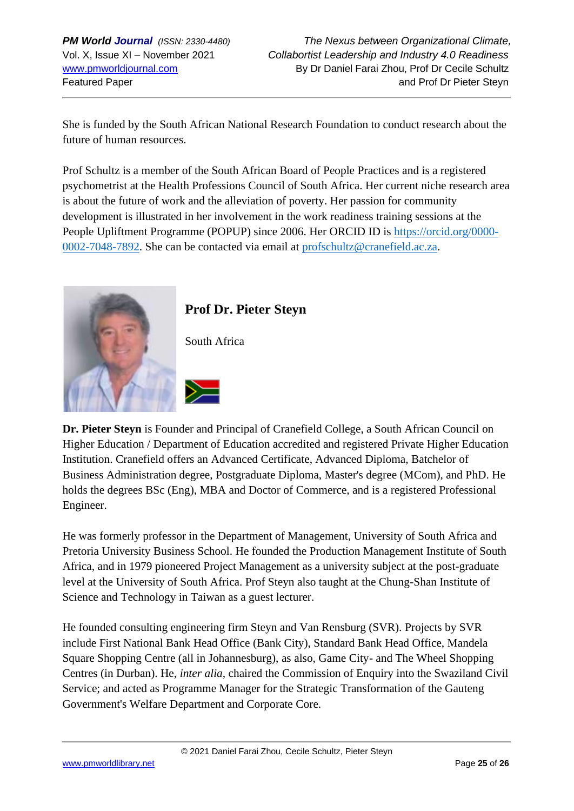She is funded by the South African National Research Foundation to conduct research about the future of human resources.

Prof Schultz is a member of the South African Board of People Practices and is a registered psychometrist at the Health Professions Council of South Africa. Her current niche research area is about the future of work and the alleviation of poverty. Her passion for community development is illustrated in her involvement in the work readiness training sessions at the People Upliftment Programme (POPUP) since 2006. Her ORCID ID is [https://orcid.org/0000-](https://orcid.org/0000-0002-7048-7892) [0002-7048-7892.](https://orcid.org/0000-0002-7048-7892) She can be contacted via email at [profschultz@cranefield.ac.za.](mailto:profschultz@cranefield.ac.za)



# **Prof Dr. Pieter Steyn**

**Dr. Pieter Steyn** is Founder and Principal of Cranefield College, a South African Council on Higher Education / Department of Education accredited and registered Private Higher Education Institution. Cranefield offers an Advanced Certificate, Advanced Diploma, Batchelor of Business Administration degree, Postgraduate Diploma, Master's degree (MCom), and PhD. He holds the degrees BSc (Eng), MBA and Doctor of Commerce, and is a registered Professional Engineer.

He was formerly professor in the Department of Management, University of South Africa and Pretoria University Business School. He founded the Production Management Institute of South Africa, and in 1979 pioneered Project Management as a university subject at the post-graduate level at the University of South Africa. Prof Steyn also taught at the Chung-Shan Institute of Science and Technology in Taiwan as a guest lecturer.

He founded consulting engineering firm Steyn and Van Rensburg (SVR). Projects by SVR include First National Bank Head Office (Bank City), Standard Bank Head Office, Mandela Square Shopping Centre (all in Johannesburg), as also, Game City- and The Wheel Shopping Centres (in Durban). He, *inter alia,* chaired the Commission of Enquiry into the Swaziland Civil Service; and acted as Programme Manager for the Strategic Transformation of the Gauteng Government's Welfare Department and Corporate Core.